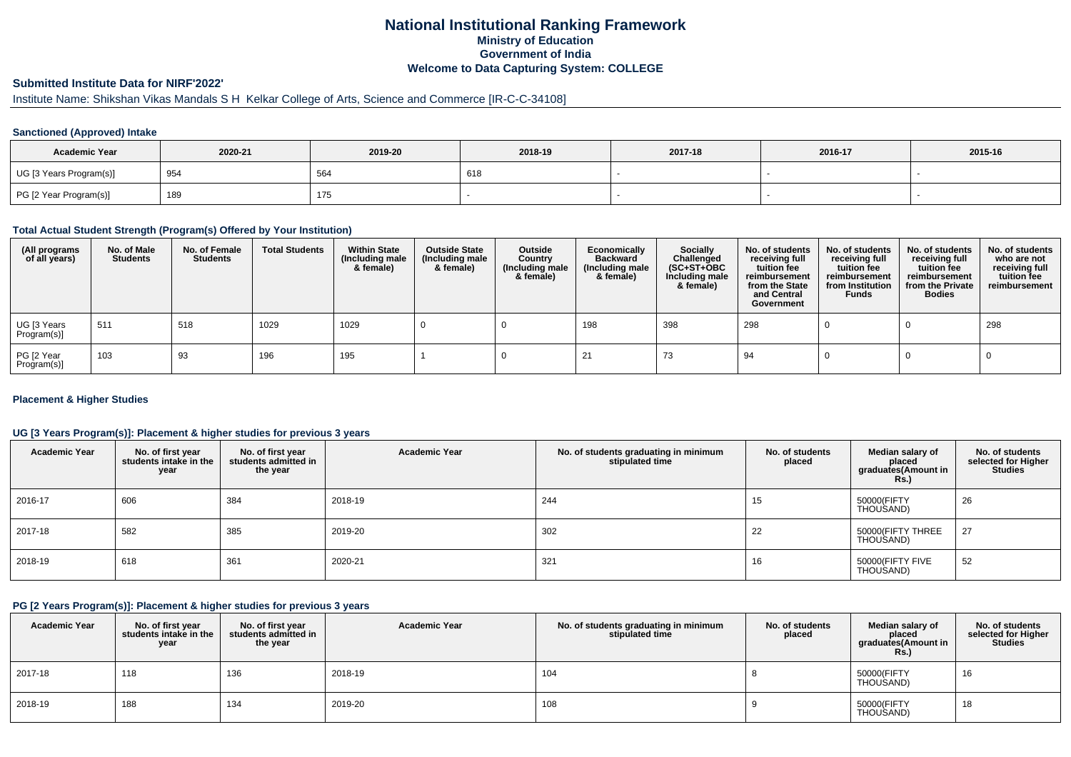## **National Institutional Ranking FrameworkMinistry of Education Government of IndiaWelcome to Data Capturing System: COLLEGE**

## **Submitted Institute Data for NIRF'2022'**

# Institute Name: Shikshan Vikas Mandals S H Kelkar College of Arts, Science and Commerce [IR-C-C-34108]

#### **Sanctioned (Approved) Intake**

| <b>Academic Year</b>    | 2020-21 | 2019-20 | 2018-19 | 2017-18 | 2016-17 | 2015-16 |
|-------------------------|---------|---------|---------|---------|---------|---------|
| UG [3 Years Program(s)] | 954     | 564     | 618     |         |         |         |
| PG [2 Year Program(s)]  | 189     | 175     |         |         |         |         |

#### **Total Actual Student Strength (Program(s) Offered by Your Institution)**

| (All programs<br>of all years) | No. of Male<br><b>Students</b> | No. of Female<br>Students | <b>Total Students</b> | <b>Within State</b><br>(Including male<br>& female) | <b>Outside State</b><br>(Including male<br>& female) | Outside<br>Country<br>(Including male<br>& female) | Economically<br><b>Backward</b><br>(Including male<br>& female) | <b>Socially</b><br>Challenged<br>$(SC+ST+OBC)$<br>Including male<br>& female) | No. of students<br>receiving full<br>tuition fee<br>reimbursement<br>from the State<br>and Central<br>Government | No. of students<br>receiving full<br>tuition fee<br>reimbursement<br>from Institution<br><b>Funds</b> | No. of students<br>receiving full<br>tuition fee<br>reimbursement<br>from the Private<br><b>Bodies</b> | No. of students<br>who are not<br>receiving full<br>tuition fee<br>reimbursement |
|--------------------------------|--------------------------------|---------------------------|-----------------------|-----------------------------------------------------|------------------------------------------------------|----------------------------------------------------|-----------------------------------------------------------------|-------------------------------------------------------------------------------|------------------------------------------------------------------------------------------------------------------|-------------------------------------------------------------------------------------------------------|--------------------------------------------------------------------------------------------------------|----------------------------------------------------------------------------------|
| UG [3 Years<br>Program(s)]     | 511                            | 518                       | 1029                  | 1029                                                |                                                      |                                                    | 198                                                             | 398                                                                           | 298                                                                                                              |                                                                                                       |                                                                                                        | 298                                                                              |
| PG [2 Year<br>Program(s)]      | 103                            | 93                        | 196                   | 195                                                 |                                                      |                                                    |                                                                 | 73                                                                            | 94                                                                                                               |                                                                                                       |                                                                                                        |                                                                                  |

#### **Placement & Higher Studies**

#### **UG [3 Years Program(s)]: Placement & higher studies for previous 3 years**

| <b>Academic Year</b> | No. of first year<br>students intake in the<br>year | No. of first year<br>students admitted in<br>the year | <b>Academic Year</b> | No. of students graduating in minimum<br>stipulated time | No. of students<br>placed | Median salary of<br>placed<br>graduates(Amount in<br><b>Rs.)</b> | No. of students<br>selected for Higher<br><b>Studies</b> |
|----------------------|-----------------------------------------------------|-------------------------------------------------------|----------------------|----------------------------------------------------------|---------------------------|------------------------------------------------------------------|----------------------------------------------------------|
| 2016-17              | 606                                                 | 384                                                   | 2018-19              | 244                                                      | 15                        | 50000(FIFTY<br>THOUSAND)                                         | 26                                                       |
| 2017-18              | 582                                                 | 385                                                   | 2019-20              | 302                                                      | 22                        | 50000(FIFTY THREE<br>THOUSAND)                                   | 27                                                       |
| 2018-19              | 618                                                 | 361                                                   | 2020-21              | 321                                                      | 16                        | 50000(FIFTY FIVE<br>THOUSAND)                                    | 52                                                       |

#### **PG [2 Years Program(s)]: Placement & higher studies for previous 3 years**

| <b>Academic Year</b> | No. of first year<br>students intake in the<br>year | No. of first year<br>students admitted in<br>the year | <b>Academic Year</b> | No. of students graduating in minimum<br>stipulated time | No. of students<br>placed | Median salary of<br>placed<br>graduates(Amount in<br><b>Rs.)</b> | No. of students<br>selected for Higher<br><b>Studies</b> |
|----------------------|-----------------------------------------------------|-------------------------------------------------------|----------------------|----------------------------------------------------------|---------------------------|------------------------------------------------------------------|----------------------------------------------------------|
| 2017-18              | 118                                                 | 136                                                   | 2018-19              | 104                                                      |                           | 50000(FIFTY<br>THOUSAND)                                         | 16                                                       |
| 2018-19              | 188                                                 | 134                                                   | 2019-20              | 108                                                      |                           | 50000(FIFTY<br>THOUSAND)                                         | 18                                                       |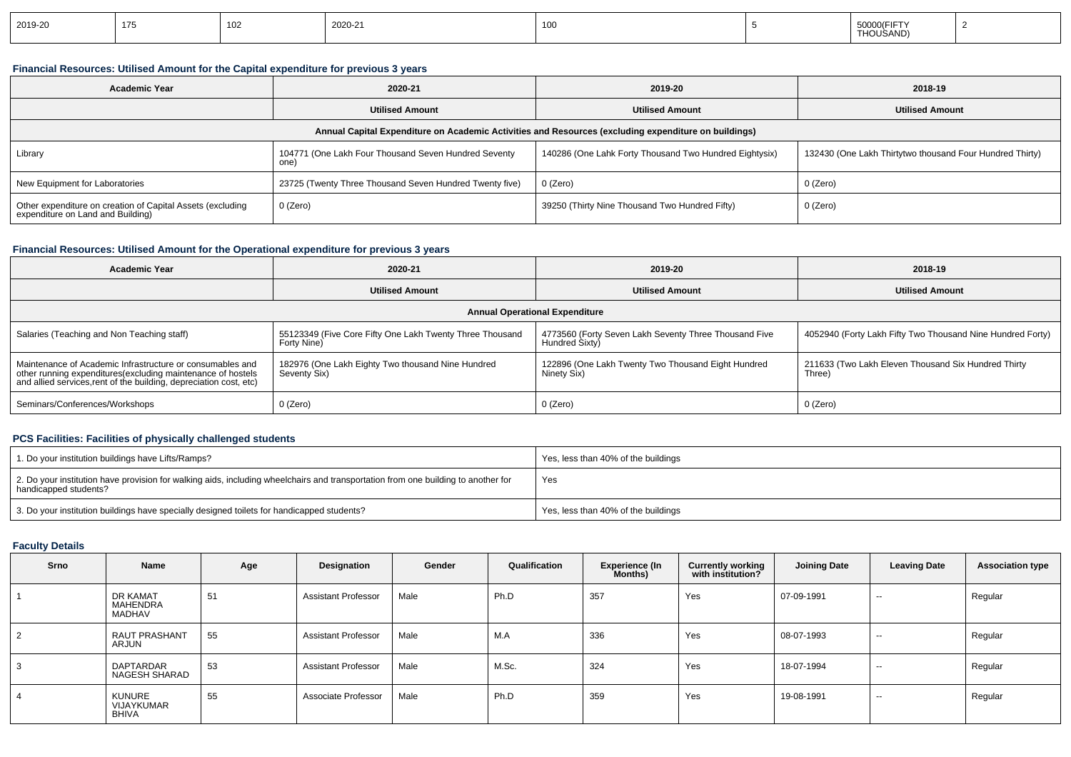|  | 2019-20 | . | 102 | 2020-21 | 10C |  | 50000(FIFT<br>.<br>THOUSAND) |  |
|--|---------|---|-----|---------|-----|--|------------------------------|--|
|--|---------|---|-----|---------|-----|--|------------------------------|--|

### **Financial Resources: Utilised Amount for the Capital expenditure for previous 3 years**

| <b>Academic Year</b>                                                                            | 2020-21                                                     | 2019-20                                                                                              | 2018-19                                                  |
|-------------------------------------------------------------------------------------------------|-------------------------------------------------------------|------------------------------------------------------------------------------------------------------|----------------------------------------------------------|
|                                                                                                 | <b>Utilised Amount</b>                                      | <b>Utilised Amount</b>                                                                               | <b>Utilised Amount</b>                                   |
|                                                                                                 |                                                             | Annual Capital Expenditure on Academic Activities and Resources (excluding expenditure on buildings) |                                                          |
| Library                                                                                         | 104771 (One Lakh Four Thousand Seven Hundred Seventy<br>one | 140286 (One Lahk Forty Thousand Two Hundred Eightysix)                                               | 132430 (One Lakh Thirtytwo thousand Four Hundred Thirty) |
| New Equipment for Laboratories                                                                  | 23725 (Twenty Three Thousand Seven Hundred Twenty five)     | 0 (Zero)                                                                                             | 0 (Zero)                                                 |
| Other expenditure on creation of Capital Assets (excluding<br>expenditure on Land and Building) | 0 (Zero)                                                    | 39250 (Thirty Nine Thousand Two Hundred Fifty)                                                       | 0 (Zero)                                                 |

### **Financial Resources: Utilised Amount for the Operational expenditure for previous 3 years**

| <b>Academic Year</b>                                                                                                                                                                            | 2020-21                                                                 | 2019-20                                                                 | 2018-19                                                       |
|-------------------------------------------------------------------------------------------------------------------------------------------------------------------------------------------------|-------------------------------------------------------------------------|-------------------------------------------------------------------------|---------------------------------------------------------------|
|                                                                                                                                                                                                 | <b>Utilised Amount</b>                                                  | <b>Utilised Amount</b>                                                  | <b>Utilised Amount</b>                                        |
|                                                                                                                                                                                                 |                                                                         | <b>Annual Operational Expenditure</b>                                   |                                                               |
| Salaries (Teaching and Non Teaching staff)                                                                                                                                                      | 55123349 (Five Core Fifty One Lakh Twenty Three Thousand<br>Forty Nine) | 4773560 (Forty Seven Lakh Seventy Three Thousand Five<br>Hundred Sixty) | 4052940 (Forty Lakh Fifty Two Thousand Nine Hundred Forty)    |
| Maintenance of Academic Infrastructure or consumables and<br>other running expenditures (excluding maintenance of hostels<br>and allied services, rent of the building, depreciation cost, etc) | 182976 (One Lakh Eighty Two thousand Nine Hundred<br>Seventy Six)       | 122896 (One Lakh Twenty Two Thousand Eight Hundred<br>Ninety Six)       | 211633 (Two Lakh Eleven Thousand Six Hundred Thirty<br>Three) |
| Seminars/Conferences/Workshops                                                                                                                                                                  | 0 (Zero)                                                                | 0 (Zero)                                                                | 0 (Zero)                                                      |

### **PCS Facilities: Facilities of physically challenged students**

| 1. Do your institution buildings have Lifts/Ramps?                                                                                                         | Yes, less than 40% of the buildings |
|------------------------------------------------------------------------------------------------------------------------------------------------------------|-------------------------------------|
| 2. Do your institution have provision for walking aids, including wheelchairs and transportation from one building to another for<br>handicapped students? | Yes                                 |
| 3. Do your institution buildings have specially designed toilets for handicapped students?                                                                 | Yes, less than 40% of the buildings |

#### **Faculty Details**

| Srno | Name                                 | Age | Designation                | Gender | Qualification | <b>Experience (In</b><br>Months) | <b>Currently working</b><br>with institution? | <b>Joining Date</b> | <b>Leaving Date</b> | <b>Association type</b> |
|------|--------------------------------------|-----|----------------------------|--------|---------------|----------------------------------|-----------------------------------------------|---------------------|---------------------|-------------------------|
|      | DR KAMAT<br>MAHENDRA<br>MADHAV       | 51  | <b>Assistant Professor</b> | Male   | Ph.D          | 357                              | Yes                                           | 07-09-1991          | $-$                 | Regular                 |
| 2    | <b>RAUT PRASHANT</b><br>ARJUN        | 55  | <b>Assistant Professor</b> | Male   | M.A           | 336                              | Yes                                           | 08-07-1993          | $\sim$              | Regular                 |
| 3    | DAPTARDAR<br>NAGESH SHARAD           | 53  | <b>Assistant Professor</b> | Male   | M.Sc.         | 324                              | Yes                                           | 18-07-1994          | $-$                 | Regular                 |
| 4    | KUNURE<br>VIJAYKUMAR<br><b>BHIVA</b> | 55  | Associate Professor        | Male   | Ph.D          | 359                              | Yes                                           | 19-08-1991          | $\sim$              | Regular                 |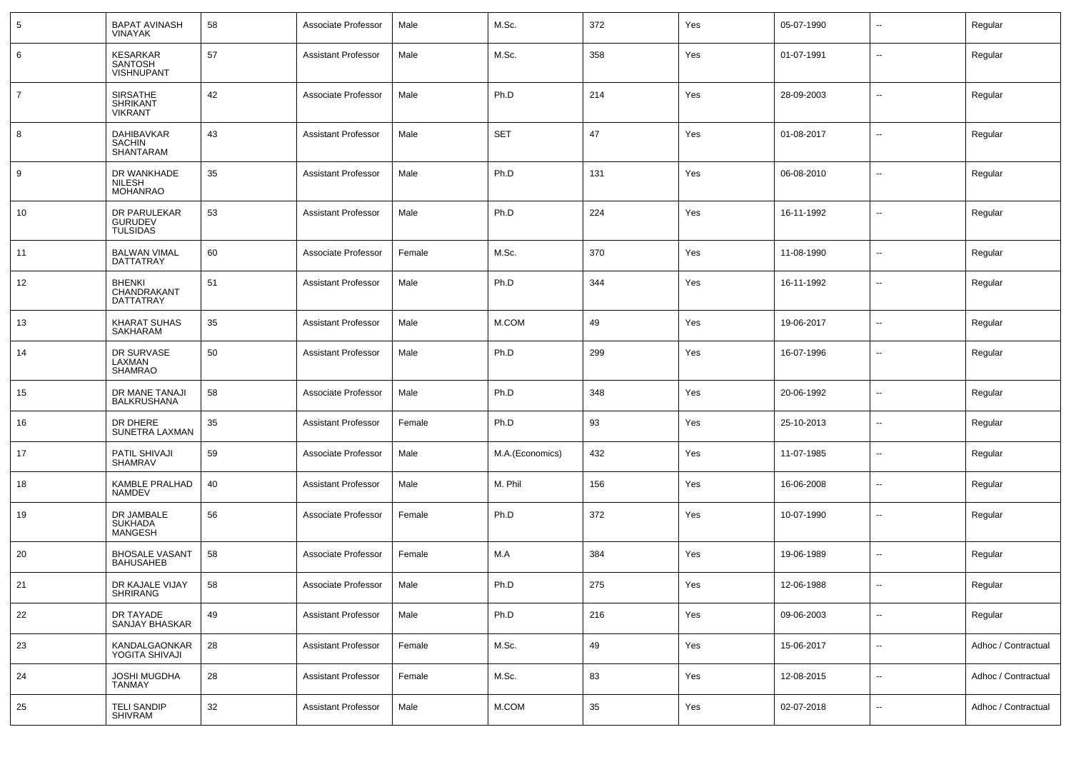| $5\phantom{.0}$ | <b>BAPAT AVINASH</b><br><b>VINAYAK</b>               | 58 | Associate Professor        | Male   | M.Sc.           | 372 | Yes | 05-07-1990 | --                       | Regular             |
|-----------------|------------------------------------------------------|----|----------------------------|--------|-----------------|-----|-----|------------|--------------------------|---------------------|
| 6               | KESARKAR<br>SANTOSH<br><b>VISHNUPANT</b>             | 57 | <b>Assistant Professor</b> | Male   | M.Sc.           | 358 | Yes | 01-07-1991 | $\sim$                   | Regular             |
| $\overline{7}$  | <b>SIRSATHE</b><br><b>SHRIKANT</b><br><b>VIKRANT</b> | 42 | Associate Professor        | Male   | Ph.D            | 214 | Yes | 28-09-2003 | $\overline{\phantom{a}}$ | Regular             |
| 8               | DAHIBAVKAR<br><b>SACHIN</b><br>SHANTARAM             | 43 | <b>Assistant Professor</b> | Male   | <b>SET</b>      | 47  | Yes | 01-08-2017 | $\sim$                   | Regular             |
| 9               | DR WANKHADE<br><b>NILESH</b><br><b>MOHANRAO</b>      | 35 | <b>Assistant Professor</b> | Male   | Ph.D            | 131 | Yes | 06-08-2010 | --                       | Regular             |
| 10              | DR PARULEKAR<br><b>GURUDEV</b><br><b>TULSIDAS</b>    | 53 | <b>Assistant Professor</b> | Male   | Ph.D            | 224 | Yes | 16-11-1992 | --                       | Regular             |
| 11              | <b>BALWAN VIMAL</b><br><b>DATTATRAY</b>              | 60 | Associate Professor        | Female | M.Sc.           | 370 | Yes | 11-08-1990 | ⊷.                       | Regular             |
| 12              | <b>BHENKI</b><br>CHANDRAKANT<br>DATTATRAY            | 51 | <b>Assistant Professor</b> | Male   | Ph.D            | 344 | Yes | 16-11-1992 | $\overline{\phantom{a}}$ | Regular             |
| 13              | KHARAT SUHAS<br>SAKHARAM                             | 35 | <b>Assistant Professor</b> | Male   | M.COM           | 49  | Yes | 19-06-2017 | --                       | Regular             |
| 14              | DR SURVASE<br>LAXMAN<br><b>SHAMRAO</b>               | 50 | <b>Assistant Professor</b> | Male   | Ph.D            | 299 | Yes | 16-07-1996 | --                       | Regular             |
| 15              | DR MANE TANAJI<br>BALKRUSHANA                        | 58 | Associate Professor        | Male   | Ph.D            | 348 | Yes | 20-06-1992 | $\sim$                   | Regular             |
| 16              | DR DHERE<br>SUNETRA LAXMAN                           | 35 | <b>Assistant Professor</b> | Female | Ph.D            | 93  | Yes | 25-10-2013 | $\sim$                   | Regular             |
| 17              | PATIL SHIVAJI<br>SHAMRAV                             | 59 | Associate Professor        | Male   | M.A.(Economics) | 432 | Yes | 11-07-1985 | $\sim$                   | Regular             |
| 18              | <b>KAMBLE PRALHAD</b><br><b>NAMDEV</b>               | 40 | <b>Assistant Professor</b> | Male   | M. Phil         | 156 | Yes | 16-06-2008 | $\overline{\phantom{a}}$ | Regular             |
| 19              | DR JAMBALE<br>SUKHADA<br><b>MANGESH</b>              | 56 | Associate Professor        | Female | Ph.D            | 372 | Yes | 10-07-1990 | --                       | Regular             |
| 20              | <b>BHOSALE VASANT</b><br><b>BAHUSAHEB</b>            | 58 | Associate Professor        | Female | M.A             | 384 | Yes | 19-06-1989 | ⊷.                       | Regular             |
| 21              | DR KAJALE VIJAY<br>SHRIRANG                          | 58 | Associate Professor        | Male   | Ph.D            | 275 | Yes | 12-06-1988 |                          | Regular             |
| 22              | DR TAYADE<br>SANJAY BHASKAR                          | 49 | <b>Assistant Professor</b> | Male   | Ph.D            | 216 | Yes | 09-06-2003 | ш.                       | Regular             |
| 23              | KANDALGAONKAR<br>YOGITA SHIVAJI                      | 28 | <b>Assistant Professor</b> | Female | M.Sc.           | 49  | Yes | 15-06-2017 | Щ,                       | Adhoc / Contractual |
| 24              | JOSHI MUGDHA<br>TANMAY                               | 28 | <b>Assistant Professor</b> | Female | M.Sc.           | 83  | Yes | 12-08-2015 | Щ,                       | Adhoc / Contractual |
| 25              | <b>TELI SANDIP</b><br>SHIVRAM                        | 32 | <b>Assistant Professor</b> | Male   | M.COM           | 35  | Yes | 02-07-2018 | щ.                       | Adhoc / Contractual |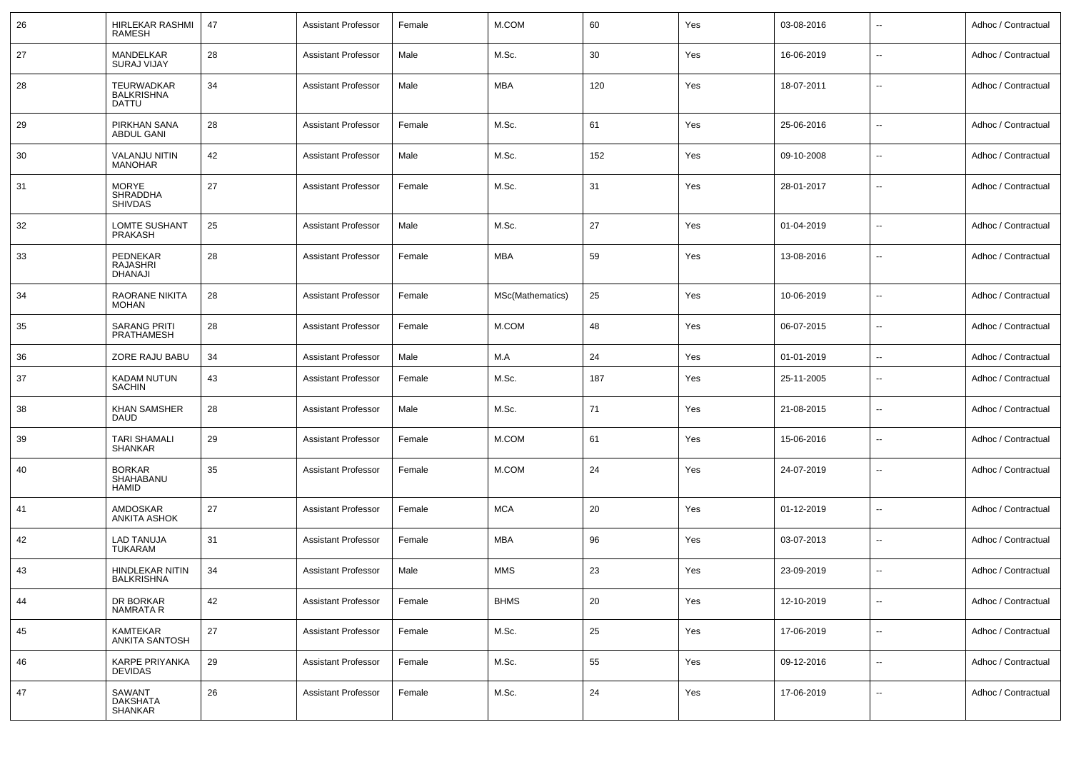| 26 | HIRLEKAR RASHMI<br><b>RAMESH</b>                  | 47 | <b>Assistant Professor</b> | Female | M.COM            | 60  | Yes | 03-08-2016 |                          | Adhoc / Contractual |
|----|---------------------------------------------------|----|----------------------------|--------|------------------|-----|-----|------------|--------------------------|---------------------|
| 27 | MANDELKAR<br><b>SURAJ VIJAY</b>                   | 28 | <b>Assistant Professor</b> | Male   | M.Sc.            | 30  | Yes | 16-06-2019 | $\overline{a}$           | Adhoc / Contractual |
| 28 | <b>TEURWADKAR</b><br><b>BALKRISHNA</b><br>DATTU   | 34 | <b>Assistant Professor</b> | Male   | <b>MBA</b>       | 120 | Yes | 18-07-2011 | $\sim$                   | Adhoc / Contractual |
| 29 | PIRKHAN SANA<br><b>ABDUL GANI</b>                 | 28 | <b>Assistant Professor</b> | Female | M.Sc.            | 61  | Yes | 25-06-2016 | н.                       | Adhoc / Contractual |
| 30 | <b>VALANJU NITIN</b><br><b>MANOHAR</b>            | 42 | <b>Assistant Professor</b> | Male   | M.Sc.            | 152 | Yes | 09-10-2008 | $\ddot{\phantom{a}}$     | Adhoc / Contractual |
| 31 | <b>MORYE</b><br><b>SHRADDHA</b><br><b>SHIVDAS</b> | 27 | <b>Assistant Professor</b> | Female | M.Sc.            | 31  | Yes | 28-01-2017 | н.                       | Adhoc / Contractual |
| 32 | LOMTE SUSHANT<br><b>PRAKASH</b>                   | 25 | <b>Assistant Professor</b> | Male   | M.Sc.            | 27  | Yes | 01-04-2019 | н.                       | Adhoc / Contractual |
| 33 | PEDNEKAR<br><b>RAJASHRI</b><br><b>DHANAJI</b>     | 28 | <b>Assistant Professor</b> | Female | <b>MBA</b>       | 59  | Yes | 13-08-2016 | н.                       | Adhoc / Contractual |
| 34 | RAORANE NIKITA<br><b>MOHAN</b>                    | 28 | <b>Assistant Professor</b> | Female | MSc(Mathematics) | 25  | Yes | 10-06-2019 | н.                       | Adhoc / Contractual |
| 35 | <b>SARANG PRITI</b><br><b>PRATHAMESH</b>          | 28 | <b>Assistant Professor</b> | Female | M.COM            | 48  | Yes | 06-07-2015 | $\overline{\phantom{a}}$ | Adhoc / Contractual |
| 36 | ZORE RAJU BABU                                    | 34 | <b>Assistant Professor</b> | Male   | M.A              | 24  | Yes | 01-01-2019 | $\sim$                   | Adhoc / Contractual |
| 37 | KADAM NUTUN<br><b>SACHIN</b>                      | 43 | <b>Assistant Professor</b> | Female | M.Sc.            | 187 | Yes | 25-11-2005 | н.                       | Adhoc / Contractual |
| 38 | <b>KHAN SAMSHER</b><br><b>DAUD</b>                | 28 | <b>Assistant Professor</b> | Male   | M.Sc.            | 71  | Yes | 21-08-2015 | н.                       | Adhoc / Contractual |
| 39 | <b>TARI SHAMALI</b><br><b>SHANKAR</b>             | 29 | <b>Assistant Professor</b> | Female | M.COM            | 61  | Yes | 15-06-2016 | н,                       | Adhoc / Contractual |
| 40 | <b>BORKAR</b><br>SHAHABANU<br><b>HAMID</b>        | 35 | <b>Assistant Professor</b> | Female | M.COM            | 24  | Yes | 24-07-2019 | н.                       | Adhoc / Contractual |
| 41 | AMDOSKAR<br><b>ANKITA ASHOK</b>                   | 27 | <b>Assistant Professor</b> | Female | <b>MCA</b>       | 20  | Yes | 01-12-2019 | $\sim$                   | Adhoc / Contractual |
| 42 | LAD TANUJA<br>TUKARAM                             | 31 | <b>Assistant Professor</b> | Female | MBA              | 96  | Yes | 03-07-2013 | $\overline{\phantom{a}}$ | Adhoc / Contractual |
| 43 | HINDLEKAR NITIN<br><b>BALKRISHNA</b>              | 34 | <b>Assistant Professor</b> | Male   | MMS              | 23  | Yes | 23-09-2019 | $\overline{a}$           | Adhoc / Contractual |
| 44 | DR BORKAR<br>NAMRATA R                            | 42 | <b>Assistant Professor</b> | Female | <b>BHMS</b>      | 20  | Yes | 12-10-2019 | $\overline{\phantom{a}}$ | Adhoc / Contractual |
| 45 | KAMTEKAR<br><b>ANKITA SANTOSH</b>                 | 27 | <b>Assistant Professor</b> | Female | M.Sc.            | 25  | Yes | 17-06-2019 | $\sim$                   | Adhoc / Contractual |
| 46 | <b>KARPE PRIYANKA</b><br><b>DEVIDAS</b>           | 29 | <b>Assistant Professor</b> | Female | M.Sc.            | 55  | Yes | 09-12-2016 | $\sim$                   | Adhoc / Contractual |
| 47 | SAWANT<br>DAKSHATA<br>SHANKAR                     | 26 | <b>Assistant Professor</b> | Female | M.Sc.            | 24  | Yes | 17-06-2019 | $\overline{\phantom{a}}$ | Adhoc / Contractual |